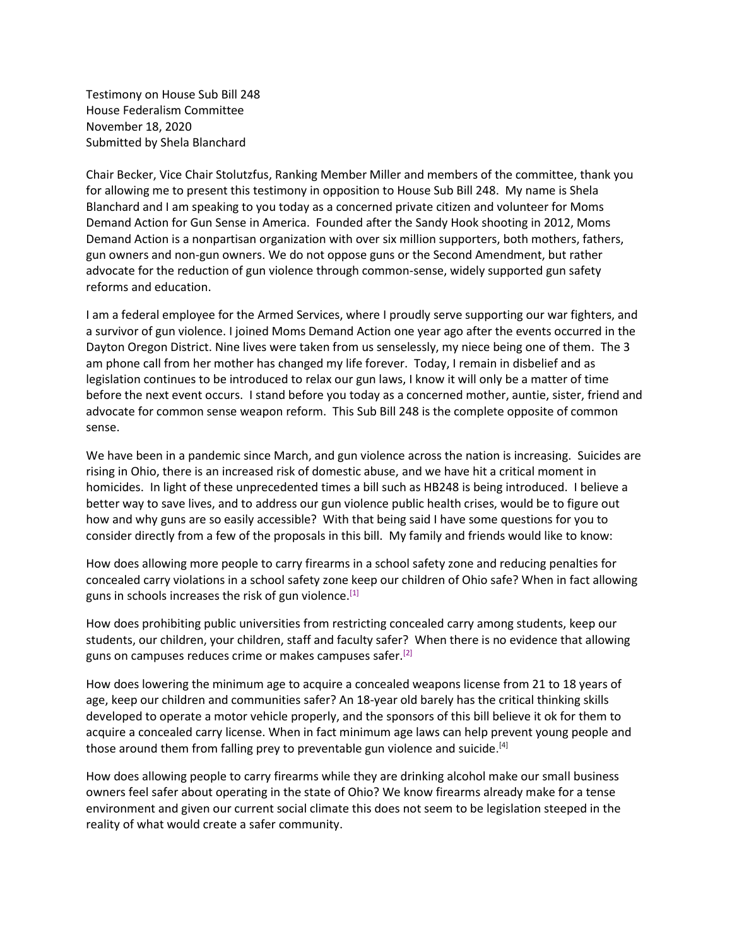Testimony on House Sub Bill 248 House Federalism Committee November 18, 2020 Submitted by Shela Blanchard

Chair Becker, Vice Chair Stolutzfus, Ranking Member Miller and members of the committee, thank you for allowing me to present this testimony in opposition to House Sub Bill 248. My name is Shela Blanchard and I am speaking to you today as a concerned private citizen and volunteer for Moms Demand Action for Gun Sense in America. Founded after the Sandy Hook shooting in 2012, Moms Demand Action is a nonpartisan organization with over six million supporters, both mothers, fathers, gun owners and non-gun owners. We do not oppose guns or the Second Amendment, but rather advocate for the reduction of gun violence through common-sense, widely supported gun safety reforms and education.

I am a federal employee for the Armed Services, where I proudly serve supporting our war fighters, and a survivor of gun violence. I joined Moms Demand Action one year ago after the events occurred in the Dayton Oregon District. Nine lives were taken from us senselessly, my niece being one of them. The 3 am phone call from her mother has changed my life forever. Today, I remain in disbelief and as legislation continues to be introduced to relax our gun laws, I know it will only be a matter of time before the next event occurs. I stand before you today as a concerned mother, auntie, sister, friend and advocate for common sense weapon reform. This Sub Bill 248 is the complete opposite of common sense.

We have been in a pandemic since March, and gun violence across the nation is increasing. Suicides are rising in Ohio, there is an increased risk of domestic abuse, and we have hit a critical moment in homicides. In light of these unprecedented times a bill such as HB248 is being introduced. I believe a better way to save lives, and to address our gun violence public health crises, would be to figure out how and why guns are so easily accessible? With that being said I have some questions for you to consider directly from a few of the proposals in this bill. My family and friends would like to know:

How does allowing more people to carry firearms in a school safety zone and reducing penalties for concealed carry violations in a school safety zone keep our children of Ohio safe? When in fact allowing guns in schools increases the risk of gun violence.<sup>[1]</sup>

How does prohibiting public universities from restricting concealed carry among students, keep our students, our children, your children, staff and faculty safer? When there is no evidence that allowing guns on campuses reduces crime or makes campuses safer.<sup>[2]</sup>

How does lowering the minimum age to acquire a concealed weapons license from 21 to 18 years of age, keep our children and communities safer? An 18-year old barely has the critical thinking skills developed to operate a motor vehicle properly, and the sponsors of this bill believe it ok for them to acquire a concealed carry license. When in fact minimum age laws can help prevent young people and those around them from falling prey to preventable gun violence and suicide.<sup>[4]</sup>

How does allowing people to carry firearms while they are drinking alcohol make our small business owners feel safer about operating in the state of Ohio? We know firearms already make for a tense environment and given our current social climate this does not seem to be legislation steeped in the reality of what would create a safer community.